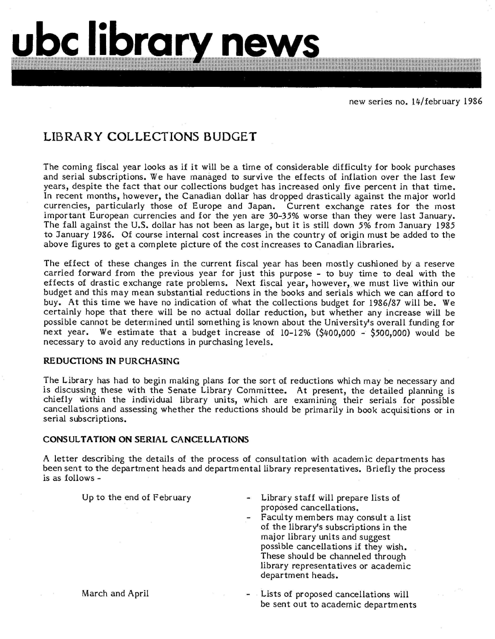# **LIBRARY COLLECTIONS BUDGET**

**ubc library news** 

The coming fiscal year looks as if it will be a time of considerable difficulty for book purchases and serial subscriptions. We have managed to survive the effects of inflation over the last few years, despite the fact that our collections budget has increased only five percent in that time. In recent months, however, the Canadian dollar has dropped drastically against the major world currencies, particularly those of Europe and Japan. Current exchange rates for the most important European currencies and for the yen are 30-35% worse than they were last January. The fall against the U.S. dollar has not been as large, but it is still down 5% from January 1985 to January 1986. Of course internal cost increases in the country of origin must be added to the above figures to get a complete picture of the cost increases to Canadian libraries.

The effect of these changes in the current fiscal year has been mostly cushioned by a reserve carried forward from the previous year for just this purpose - to buy time to deal with the effects of drastic exchange rate problems. Next fiscal year, however, we must live within our budget and this may mean substantial reductions in the books and serials which we can afford to buy. At this time we have no indication of what the collections budget for 1986/87 will be. We certainly hope that there will be no actual dollar reduction, but whether any increase will be possible cannot be determined until something is known about the University's overall funding for next year. We estimate that a budget increase of 10-12% (\$400,000 - \$500,000) would be necessary to avoid any reductions in purchasing levels.

## **REDUCTIONS IN PURCHASING**

The Library has had to begin making plans for the sort of reductions which may be necessary and is discussing these with the Senate Library Committee. At present, the detailed planning is chiefly within the individual library units, which are examining their serials for possible cancellations and assessing whether the reductions should be primarily in book acquisitions or in serial subscriptions.

#### **CONSULTATION ON SERIAL CANCELLATIONS**

A letter describing the details of the process of consultation with academic departments has been sent to the department heads and departmental library representatives. Briefly the process is as follows -

Up to the end of February

- Library staff will prepare lists of proposed cancellations.
- Faculty members may consult a list of the library's subscriptions in the major library units and suggest possible cancellations if they wish. These should be channeled through library representatives or academic department heads.
- Lists of proposed cancellations will be sent out to academic departments

March and April